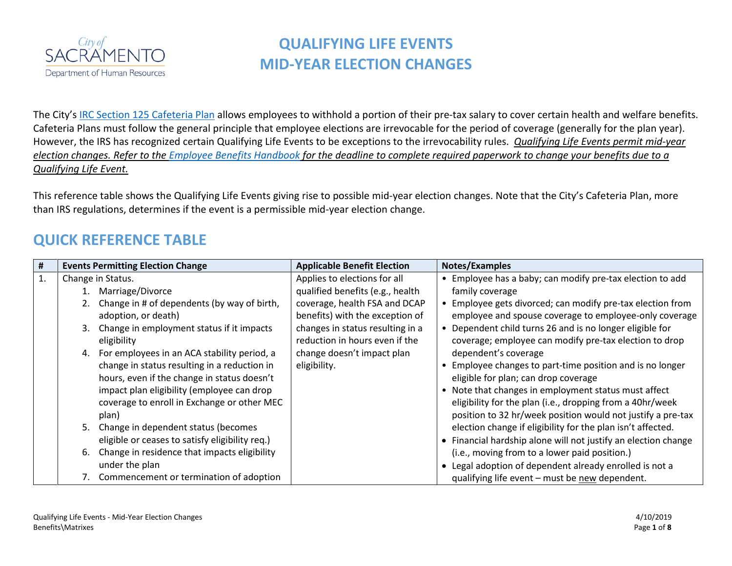

The City's [IRC Section 125 Cafeteria Plan](http://www.cityofsacramento.org/-/media/Corporate/Files/HR/Divisions/Benefits/Benefits/2018-Benefit-Info/C2018-0756-Cafeteria-Plan-2018.pdf?la=en) allows employees to withhold a portion of their pre-tax salary to cover certain health and welfare benefits. Cafeteria Plans must follow the general principle that employee elections are irrevocable for the period of coverage (generally for the plan year). However, the IRS has recognized certain Qualifying Life Events to be exceptions to the irrevocability rules. *Qualifying Life Events permit mid-year election changes. Refer to the [Employee Benefits Handbook](http://www.cityofsacramento.org/HR/Divisions/Benefits-Retirement) for the deadline to complete required paperwork to change your benefits due to a Qualifying Life Event.* 

This reference table shows the Qualifying Life Events giving rise to possible mid-year election changes. Note that the City's Cafeteria Plan, more than IRS regulations, determines if the event is a permissible mid-year election change.

### **QUICK REFERENCE TABLE**

| #  | <b>Events Permitting Election Change</b>           | <b>Applicable Benefit Election</b> | Notes/Examples                                                 |
|----|----------------------------------------------------|------------------------------------|----------------------------------------------------------------|
| 1. | Change in Status.                                  | Applies to elections for all       | • Employee has a baby; can modify pre-tax election to add      |
|    | Marriage/Divorce                                   | qualified benefits (e.g., health   | family coverage                                                |
|    | Change in # of dependents (by way of birth,        | coverage, health FSA and DCAP      | • Employee gets divorced; can modify pre-tax election from     |
|    | adoption, or death)                                | benefits) with the exception of    | employee and spouse coverage to employee-only coverage         |
|    | Change in employment status if it impacts<br>3.    | changes in status resulting in a   | • Dependent child turns 26 and is no longer eligible for       |
|    | eligibility                                        | reduction in hours even if the     | coverage; employee can modify pre-tax election to drop         |
|    | 4. For employees in an ACA stability period, a     | change doesn't impact plan         | dependent's coverage                                           |
|    | change in status resulting in a reduction in       | eligibility.                       | Employee changes to part-time position and is no longer        |
|    | hours, even if the change in status doesn't        |                                    | eligible for plan; can drop coverage                           |
|    | impact plan eligibility (employee can drop         |                                    | • Note that changes in employment status must affect           |
|    | coverage to enroll in Exchange or other MEC        |                                    | eligibility for the plan (i.e., dropping from a 40hr/week      |
|    | plan)                                              |                                    | position to 32 hr/week position would not justify a pre-tax    |
|    | 5. Change in dependent status (becomes             |                                    | election change if eligibility for the plan isn't affected.    |
|    | eligible or ceases to satisfy eligibility req.)    |                                    | • Financial hardship alone will not justify an election change |
|    | Change in residence that impacts eligibility<br>6. |                                    | (i.e., moving from to a lower paid position.)                  |
|    | under the plan                                     |                                    | Legal adoption of dependent already enrolled is not a          |
|    | 7. Commencement or termination of adoption         |                                    | qualifying life event - must be new dependent.                 |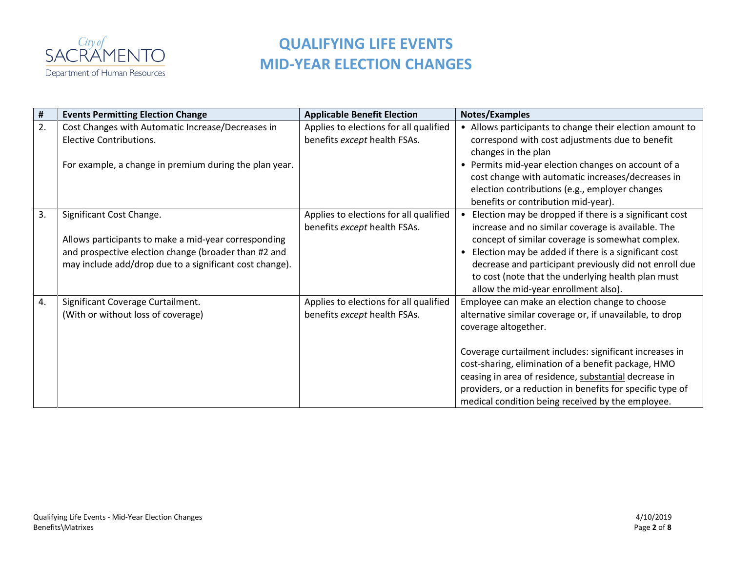

| #  | <b>Events Permitting Election Change</b>                                                                                                                                                            | <b>Applicable Benefit Election</b>                                     | Notes/Examples                                                                                                                                                                                                                                                                                                                                                                                                                   |
|----|-----------------------------------------------------------------------------------------------------------------------------------------------------------------------------------------------------|------------------------------------------------------------------------|----------------------------------------------------------------------------------------------------------------------------------------------------------------------------------------------------------------------------------------------------------------------------------------------------------------------------------------------------------------------------------------------------------------------------------|
| 2. | Cost Changes with Automatic Increase/Decreases in<br><b>Elective Contributions.</b><br>For example, a change in premium during the plan year.                                                       | Applies to elections for all qualified<br>benefits except health FSAs. | • Allows participants to change their election amount to<br>correspond with cost adjustments due to benefit<br>changes in the plan<br>• Permits mid-year election changes on account of a<br>cost change with automatic increases/decreases in<br>election contributions (e.g., employer changes<br>benefits or contribution mid-year).                                                                                          |
| 3. | Significant Cost Change.<br>Allows participants to make a mid-year corresponding<br>and prospective election change (broader than #2 and<br>may include add/drop due to a significant cost change). | Applies to elections for all qualified<br>benefits except health FSAs. | • Election may be dropped if there is a significant cost<br>increase and no similar coverage is available. The<br>concept of similar coverage is somewhat complex.<br>• Election may be added if there is a significant cost<br>decrease and participant previously did not enroll due<br>to cost (note that the underlying health plan must<br>allow the mid-year enrollment also).                                             |
| 4. | Significant Coverage Curtailment.<br>(With or without loss of coverage)                                                                                                                             | Applies to elections for all qualified<br>benefits except health FSAs. | Employee can make an election change to choose<br>alternative similar coverage or, if unavailable, to drop<br>coverage altogether.<br>Coverage curtailment includes: significant increases in<br>cost-sharing, elimination of a benefit package, HMO<br>ceasing in area of residence, substantial decrease in<br>providers, or a reduction in benefits for specific type of<br>medical condition being received by the employee. |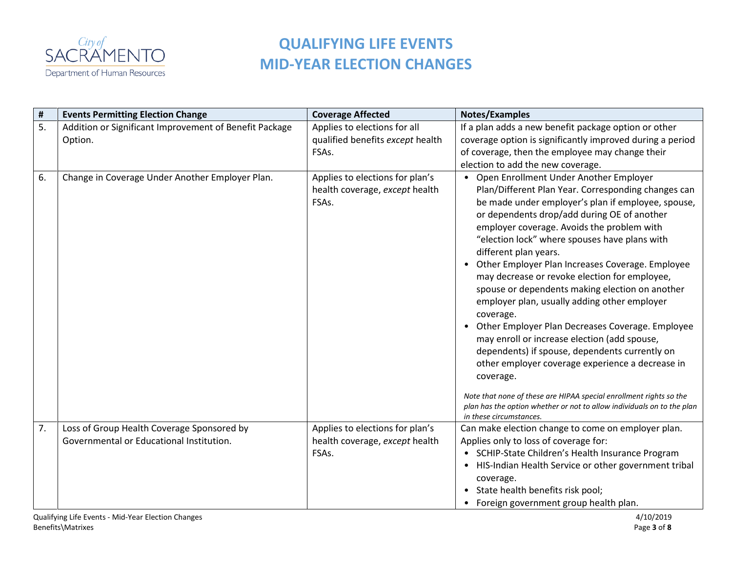

| $\pmb{\sharp}$ | <b>Events Permitting Election Change</b>                                               | <b>Coverage Affected</b>                                                   | Notes/Examples                                                                                                                                                                                                                                                                                                                                                                                                                                                                                                                                                                                                                                                                                                                                                                                                                                                                                                                                        |
|----------------|----------------------------------------------------------------------------------------|----------------------------------------------------------------------------|-------------------------------------------------------------------------------------------------------------------------------------------------------------------------------------------------------------------------------------------------------------------------------------------------------------------------------------------------------------------------------------------------------------------------------------------------------------------------------------------------------------------------------------------------------------------------------------------------------------------------------------------------------------------------------------------------------------------------------------------------------------------------------------------------------------------------------------------------------------------------------------------------------------------------------------------------------|
| 5.             | Addition or Significant Improvement of Benefit Package<br>Option.                      | Applies to elections for all<br>qualified benefits except health<br>FSAs.  | If a plan adds a new benefit package option or other<br>coverage option is significantly improved during a period<br>of coverage, then the employee may change their<br>election to add the new coverage.                                                                                                                                                                                                                                                                                                                                                                                                                                                                                                                                                                                                                                                                                                                                             |
| 6.             | Change in Coverage Under Another Employer Plan.                                        | Applies to elections for plan's<br>health coverage, except health<br>FSAs. | • Open Enrollment Under Another Employer<br>Plan/Different Plan Year. Corresponding changes can<br>be made under employer's plan if employee, spouse,<br>or dependents drop/add during OE of another<br>employer coverage. Avoids the problem with<br>"election lock" where spouses have plans with<br>different plan years.<br>• Other Employer Plan Increases Coverage. Employee<br>may decrease or revoke election for employee,<br>spouse or dependents making election on another<br>employer plan, usually adding other employer<br>coverage.<br>Other Employer Plan Decreases Coverage. Employee<br>may enroll or increase election (add spouse,<br>dependents) if spouse, dependents currently on<br>other employer coverage experience a decrease in<br>coverage.<br>Note that none of these are HIPAA special enrollment rights so the<br>plan has the option whether or not to allow individuals on to the plan<br>in these circumstances. |
| 7.             | Loss of Group Health Coverage Sponsored by<br>Governmental or Educational Institution. | Applies to elections for plan's<br>health coverage, except health<br>FSAs. | Can make election change to come on employer plan.<br>Applies only to loss of coverage for:<br>• SCHIP-State Children's Health Insurance Program<br>• HIS-Indian Health Service or other government tribal<br>coverage.<br>State health benefits risk pool;<br>• Foreign government group health plan.                                                                                                                                                                                                                                                                                                                                                                                                                                                                                                                                                                                                                                                |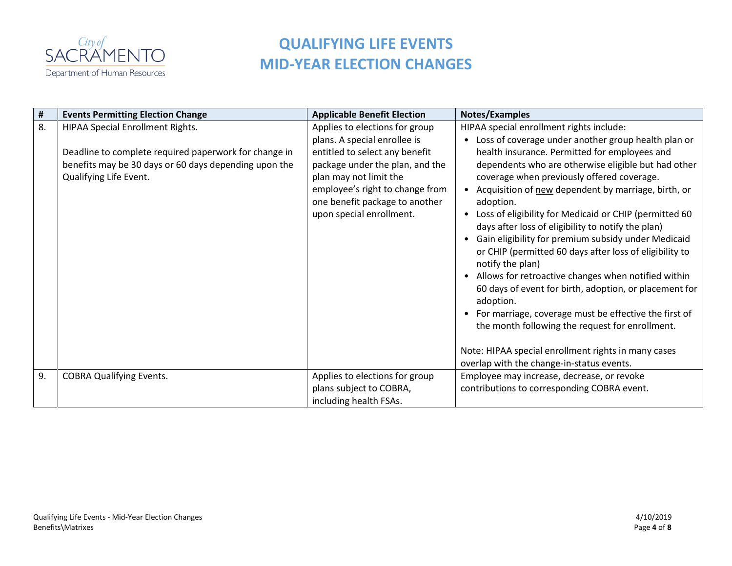

| #  | <b>Events Permitting Election Change</b>                                                                                                                                            | <b>Applicable Benefit Election</b>                                                                                                                                                                                                                             | Notes/Examples                                                                                                                                                                                                                                                                                                                                                                                                                                                                                                                                                                                                                                                                                                                                                                                                                                                                                                                                                           |
|----|-------------------------------------------------------------------------------------------------------------------------------------------------------------------------------------|----------------------------------------------------------------------------------------------------------------------------------------------------------------------------------------------------------------------------------------------------------------|--------------------------------------------------------------------------------------------------------------------------------------------------------------------------------------------------------------------------------------------------------------------------------------------------------------------------------------------------------------------------------------------------------------------------------------------------------------------------------------------------------------------------------------------------------------------------------------------------------------------------------------------------------------------------------------------------------------------------------------------------------------------------------------------------------------------------------------------------------------------------------------------------------------------------------------------------------------------------|
| 8. | <b>HIPAA Special Enrollment Rights.</b><br>Deadline to complete required paperwork for change in<br>benefits may be 30 days or 60 days depending upon the<br>Qualifying Life Event. | Applies to elections for group<br>plans. A special enrollee is<br>entitled to select any benefit<br>package under the plan, and the<br>plan may not limit the<br>employee's right to change from<br>one benefit package to another<br>upon special enrollment. | HIPAA special enrollment rights include:<br>Loss of coverage under another group health plan or<br>$\bullet$<br>health insurance. Permitted for employees and<br>dependents who are otherwise eligible but had other<br>coverage when previously offered coverage.<br>• Acquisition of new dependent by marriage, birth, or<br>adoption.<br>Loss of eligibility for Medicaid or CHIP (permitted 60<br>$\bullet$<br>days after loss of eligibility to notify the plan)<br>Gain eligibility for premium subsidy under Medicaid<br>$\bullet$<br>or CHIP (permitted 60 days after loss of eligibility to<br>notify the plan)<br>• Allows for retroactive changes when notified within<br>60 days of event for birth, adoption, or placement for<br>adoption.<br>For marriage, coverage must be effective the first of<br>the month following the request for enrollment.<br>Note: HIPAA special enrollment rights in many cases<br>overlap with the change-in-status events. |
| 9. | <b>COBRA Qualifying Events.</b>                                                                                                                                                     | Applies to elections for group<br>plans subject to COBRA,<br>including health FSAs.                                                                                                                                                                            | Employee may increase, decrease, or revoke<br>contributions to corresponding COBRA event.                                                                                                                                                                                                                                                                                                                                                                                                                                                                                                                                                                                                                                                                                                                                                                                                                                                                                |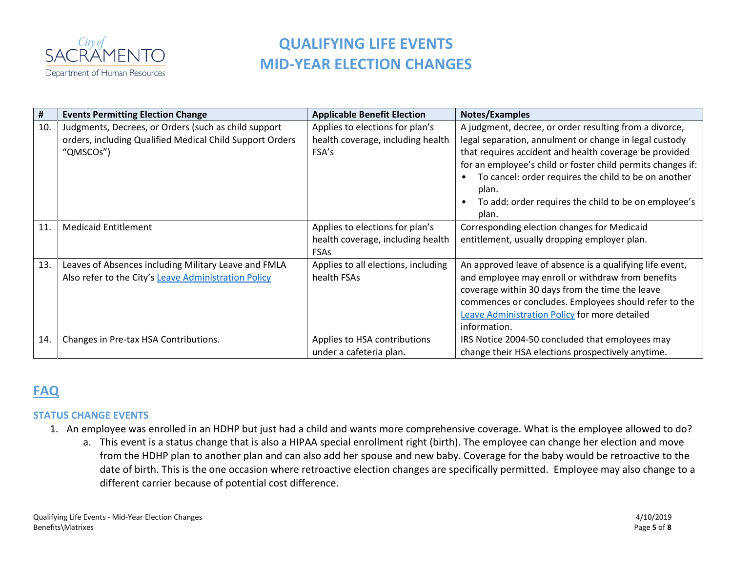

| #   | <b>Events Permitting Election Change</b>                                                                                      | <b>Applicable Benefit Election</b>                                                  | Notes/Examples                                                                                                                                                                                                                                                                                                                                                              |
|-----|-------------------------------------------------------------------------------------------------------------------------------|-------------------------------------------------------------------------------------|-----------------------------------------------------------------------------------------------------------------------------------------------------------------------------------------------------------------------------------------------------------------------------------------------------------------------------------------------------------------------------|
| 10. | Judgments, Decrees, or Orders (such as child support<br>orders, including Qualified Medical Child Support Orders<br>"QMSCOs") | Applies to elections for plan's<br>health coverage, including health<br>FSA's       | A judgment, decree, or order resulting from a divorce,<br>legal separation, annulment or change in legal custody<br>that requires accident and health coverage be provided<br>for an employee's child or foster child permits changes if:<br>To cancel: order requires the child to be on another<br>plan.<br>To add: order requires the child to be on employee's<br>plan. |
| 11  | <b>Medicaid Entitlement</b>                                                                                                   | Applies to elections for plan's<br>health coverage, including health<br><b>FSAs</b> | Corresponding election changes for Medicaid<br>entitlement, usually dropping employer plan.                                                                                                                                                                                                                                                                                 |
| 13. | Leaves of Absences including Military Leave and FMLA<br>Also refer to the City's Leave Administration Policy                  | Applies to all elections, including<br>health FSAs                                  | An approved leave of absence is a qualifying life event,<br>and employee may enroll or withdraw from benefits<br>coverage within 30 days from the time the leave<br>commences or concludes. Employees should refer to the<br><b>Leave Administration Policy for more detailed</b><br>information.                                                                           |
| 14  | Changes in Pre-tax HSA Contributions.                                                                                         | Applies to HSA contributions<br>under a cafeteria plan.                             | IRS Notice 2004-50 concluded that employees may<br>change their HSA elections prospectively anytime.                                                                                                                                                                                                                                                                        |

### **FAQ**

### **STATUS CHANGE EVENTS**

- 1. An employee was enrolled in an HDHP but just had a child and wants more comprehensive coverage. What is the employee allowed to do?
	- a. This event is a status change that is also a HIPAA special enrollment right (birth). The employee can change her election and move from the HDHP plan to another plan and can also add her spouse and new baby. Coverage for the baby would be retroactive to the date of birth. This is the one occasion where retroactive election changes are specifically permitted. Employee may also change to a different carrier because of potential cost difference.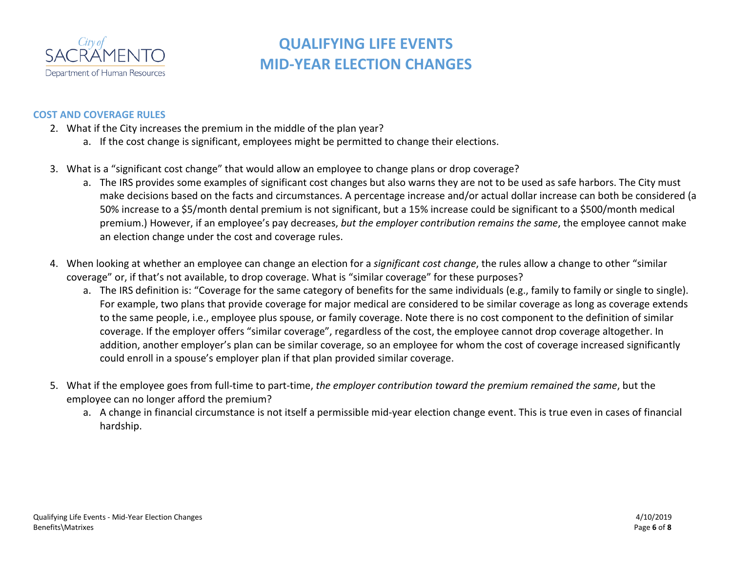

### **COST AND COVERAGE RULES**

- 2. What if the City increases the premium in the middle of the plan year?
	- a. If the cost change is significant, employees might be permitted to change their elections.
- 3. What is a "significant cost change" that would allow an employee to change plans or drop coverage?
	- a. The IRS provides some examples of significant cost changes but also warns they are not to be used as safe harbors. The City must make decisions based on the facts and circumstances. A percentage increase and/or actual dollar increase can both be considered (a 50% increase to a \$5/month dental premium is not significant, but a 15% increase could be significant to a \$500/month medical premium.) However, if an employee's pay decreases, *but the employer contribution remains the same*, the employee cannot make an election change under the cost and coverage rules.
- 4. When looking at whether an employee can change an election for a *significant cost change*, the rules allow a change to other "similar coverage" or, if that's not available, to drop coverage. What is "similar coverage" for these purposes?
	- a. The IRS definition is: "Coverage for the same category of benefits for the same individuals (e.g., family to family or single to single). For example, two plans that provide coverage for major medical are considered to be similar coverage as long as coverage extends to the same people, i.e., employee plus spouse, or family coverage. Note there is no cost component to the definition of similar coverage. If the employer offers "similar coverage", regardless of the cost, the employee cannot drop coverage altogether. In addition, another employer's plan can be similar coverage, so an employee for whom the cost of coverage increased significantly could enroll in a spouse's employer plan if that plan provided similar coverage.
- 5. What if the employee goes from full-time to part-time, *the employer contribution toward the premium remained the same*, but the employee can no longer afford the premium?
	- a. A change in financial circumstance is not itself a permissible mid-year election change event. This is true even in cases of financial hardship.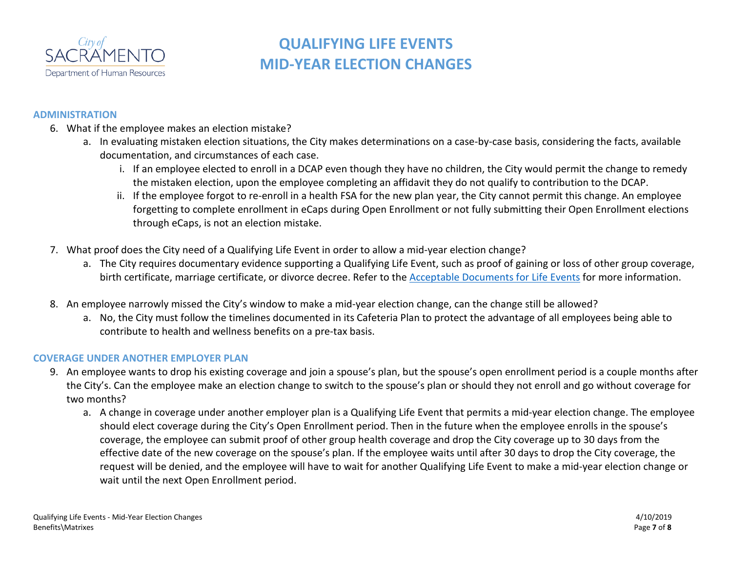

### **ADMINISTRATION**

- 6. What if the employee makes an election mistake?
	- a. In evaluating mistaken election situations, the City makes determinations on a case-by-case basis, considering the facts, available documentation, and circumstances of each case.
		- i. If an employee elected to enroll in a DCAP even though they have no children, the City would permit the change to remedy the mistaken election, upon the employee completing an affidavit they do not qualify to contribution to the DCAP.
		- ii. If the employee forgot to re-enroll in a health FSA for the new plan year, the City cannot permit this change. An employee forgetting to complete enrollment in eCaps during Open Enrollment or not fully submitting their Open Enrollment elections through eCaps, is not an election mistake.
- 7. What proof does the City need of a Qualifying Life Event in order to allow a mid-year election change?
	- a. The City requires documentary evidence supporting a Qualifying Life Event, such as proof of gaining or loss of other group coverage, birth certificate, marriage certificate, or divorce decree. Refer to the [Acceptable Documents for Life Events](http://www.cityofsacramento.org/HR/Divisions/Benefits-Retirement) for more information.
- 8. An employee narrowly missed the City's window to make a mid-year election change, can the change still be allowed?
	- a. No, the City must follow the timelines documented in its Cafeteria Plan to protect the advantage of all employees being able to contribute to health and wellness benefits on a pre-tax basis.

### **COVERAGE UNDER ANOTHER EMPLOYER PLAN**

- 9. An employee wants to drop his existing coverage and join a spouse's plan, but the spouse's open enrollment period is a couple months after the City's. Can the employee make an election change to switch to the spouse's plan or should they not enroll and go without coverage for two months?
	- a. A change in coverage under another employer plan is a Qualifying Life Event that permits a mid-year election change. The employee should elect coverage during the City's Open Enrollment period. Then in the future when the employee enrolls in the spouse's coverage, the employee can submit proof of other group health coverage and drop the City coverage up to 30 days from the effective date of the new coverage on the spouse's plan. If the employee waits until after 30 days to drop the City coverage, the request will be denied, and the employee will have to wait for another Qualifying Life Event to make a mid-year election change or wait until the next Open Enrollment period.